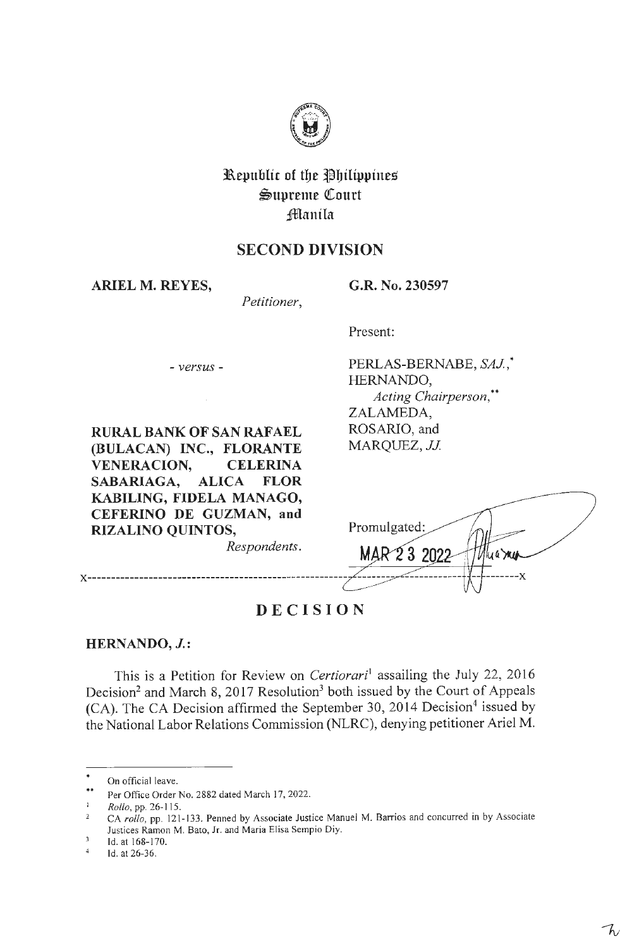

# **3&.epublic of tbe ~bilippines**   $\mathfrak{S}$ upreme Court **;iManila**

# **SECOND DIVISION**

**ARIEL M. REYES,** 

**G.R. No. 230597** 

*Petitioner,* 

Present:

Promulgated

- *versus* -

PERLAS-BERNABE, *SAJ ,\**  HERNANDO, *Acting Chairperson,\*\**  ZALAMEDA, ROSARIO, and *MARQUEZ,JJ* 

 $3.202$ 

kra mu

 $\overline{\mathbf{x}}$ 

**RURAL BANK OF SAN RAFAEL (BULACAN) INC., FLORANTE VENERACION, CELERINA SABARIAGA, ALICA FLOR KABILING, FIDELA MANAGO, CEFERINO DE GUZMAN, and RIZALINO QUINTOS,** 

*Respondents.* 

**x-------------------------------------------------------**

**DECISION** 

**HERNANDO, J.:** 

This is a Petition for Review on *Certiorari*<sup>1</sup> assailing the July 22, 2016 Decision<sup>2</sup> and March 8, 2017 Resolution<sup>3</sup> both issued by the Court of Appeals (CA). The CA Decision affirmed the September 30, 2014 Decision<sup>4</sup> issued by the National Labor Relations Commission (NLRC), denying petitioner Ariel M.

On official leave.

<sup>\*\*</sup>  Per Office Order No. 2882 dated March 17, 2022.

 $\mathbf{I}$ *Rollo,* pp. 26- 1 15.

CA *rollo,* pp. 121-133. Penned by Associate Justice Manuel M. Barrios and concurred in by Associate  $\overline{2}$ Justices Ramon M. Sato, Jr. and Maria Elisa Sempio Diy.

 $\overline{3}$ Id. at 168-170.

 $\overline{4}$ Id. at 26-36.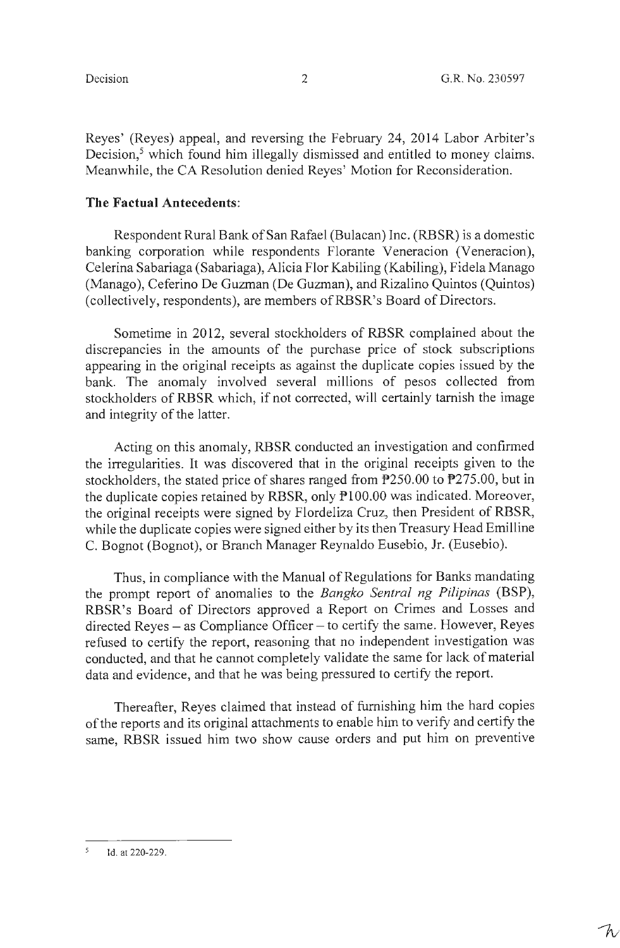W

Reyes' (Reyes) appeal, and reversing the February 24, 2014 Labor Arbiter's Decision,<sup>5</sup> which found him illegally dismissed and entitled to money claims. Meanwhile, the CA Resolution denied Reyes' Motion for Reconsideration.

### **The Factual Antecedents:**

Respondent Rural Bank of San Rafael (Bulacan) Inc. (RBSR) is a domestic banking corporation while respondents Florante Veneracion (Veneracion), Celerina Sabariaga (Sabariaga), Alicia Flor Kabiling (Kabiling), Fidela Manago (Manago), Ceferino De Guzman (De Guzman), and Rizalino Quintos (Quintos) (collectively, respondents), are members ofRBSR's Board of Directors.

Sometime in 2012, several stockholders of RBSR complained about the discrepancies in the amounts of the purchase price of stock subscriptions appearing in the original receipts as against the duplicate copies issued by the bank. The anomaly involved several millions of pesos collected from stockholders of **RBSR** which, if not corrected, will certainly tarnish the image and integrity of the latter.

Acting on this anomaly, RBSR conducted an investigation and confinned the irregularities. It was discovered that in the original receipts given to the stockholders, the stated price of shares ranged from P250.00 to P275.00, but in the duplicate copies retained by RBSR, only  $P100.00$  was indicated. Moreover, the original receipts were signed by Flordeliza Cruz, then President of RBSR, while the duplicate copies were signed either by its then Treasury Head Emilline C. Bognot (Bognot), or Branch Manager Reynaldo Eusebio, Jr. (Eusebio).

Thus, in compliance with the Manual of Regulations for Banks mandating the prompt report of anomalies to the *Bangko Sentral ng Pilipinas* (BSP), RBSR's Board of Directors approved a Report on Crimes and Losses and  $directed Reyes - as Compliance Officer - to certify the same. However, Reyes$ refused to certify the report, reasoning that no independent investigation was conducted, and that he cannot completely validate the same for lack of material data and evidence, and that he was being pressured to certify the report.

Thereafter, Reyes claimed that instead of furnishing him the hard copies of the reports and its original attachments to enable him to verify and certify the same, RBSR issued him two show cause orders and put him on preventive

<sup>5</sup> Id. at 220-229.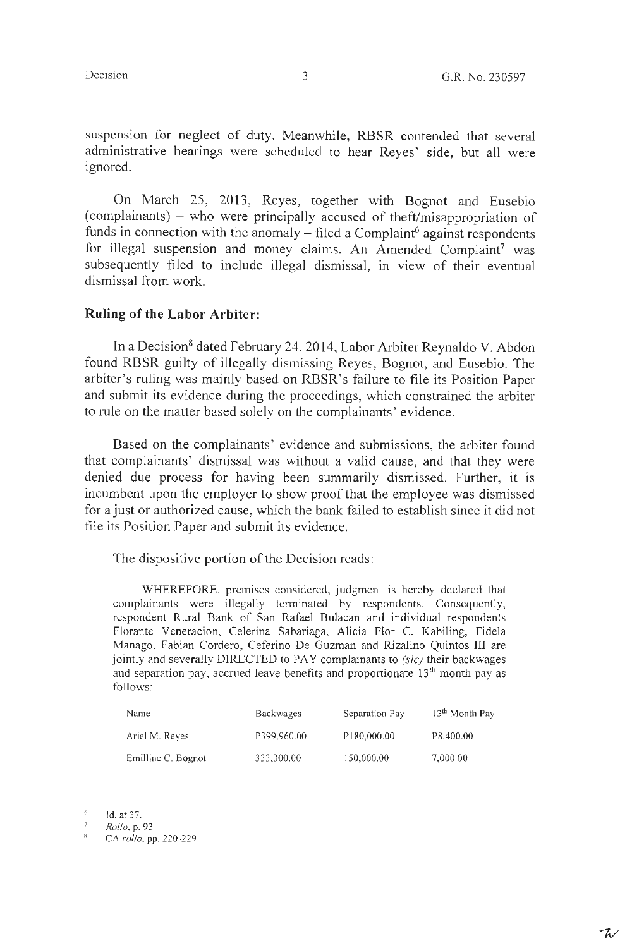$\mathcal{T}_{\mathcal{N}}$ 

suspension for neglect of duty. Meanwhile, RBSR contended that several administrative hearings were scheduled to hear Reyes' side, but all were ignored.

On March 25, 2013, Reyes, together with Bognot and Eusebio (complainants) - who were principally accused of theft/misappropriation of funds in connection with the anomaly  $-$  filed a Complaint<sup>6</sup> against respondents for illegal suspension and money claims. An Amended Complaint<sup>7</sup> was subsequently filed to include illegal dismissal, in view of their eventual dismissal from work.

## **Ruling of the Labor Arbiter:**

In a Decision<sup>8</sup> dated February 24, 2014, Labor Arbiter Reynaldo V. Abdon found RBSR guilty of illegally dismissing Reyes, Bognot, and Eusebio. The arbiter's ruling was mainly based on RBSR's failure to file its Position Paper and submit its evidence during the proceedings, which constrained the arbiter to rule on the matter based solely on the complainants' evidence.

Based on the complainants' evidence and submissions, the arbiter found that complainants' dismissal was without a valid cause, and that they were denied due process for having been summarily dismissed. Further, it is incumbent upon the employer to show proof that the employee was dismissed for a just or authorized cause, which the bank failed to establish since it did not file its Position Paper and submit its evidence.

The dispositive portion of the Decision reads:

WHEREFORE, premises considered, judgment is hereby declared that complainants were illegally terminated by respondents. Consequently, respondent Rural Bank of San Rafael Bulacan and individual respondents Florante Veneracion, Celerina Sabariaga, Alicia Flor C. Kabiling, Fidela Manago, Fabian Cordero, Ceferino De Guzman and Rizalino Quintos III are jointly and severally DIRECTED to PAY complainants to *(sic)* their backwages and separation pay, accrued leave benefits and proportionate 13<sup>th</sup> month pay as follows:

| <b>Name</b>        | <b>Backwages</b> | Separation Pay | 13 <sup>th</sup> Month Pay |
|--------------------|------------------|----------------|----------------------------|
| Ariel M. Reyes     | P399,960.00      | P180,000.00    | P8,400.00                  |
| Emilline C. Bognot | 333.300.00       | 150,000.00     | 7,000.00                   |

 $\hat{\alpha}$ Id. at 37.

*Rollo, p.93* 

CA *rollo,* pp. 220-229.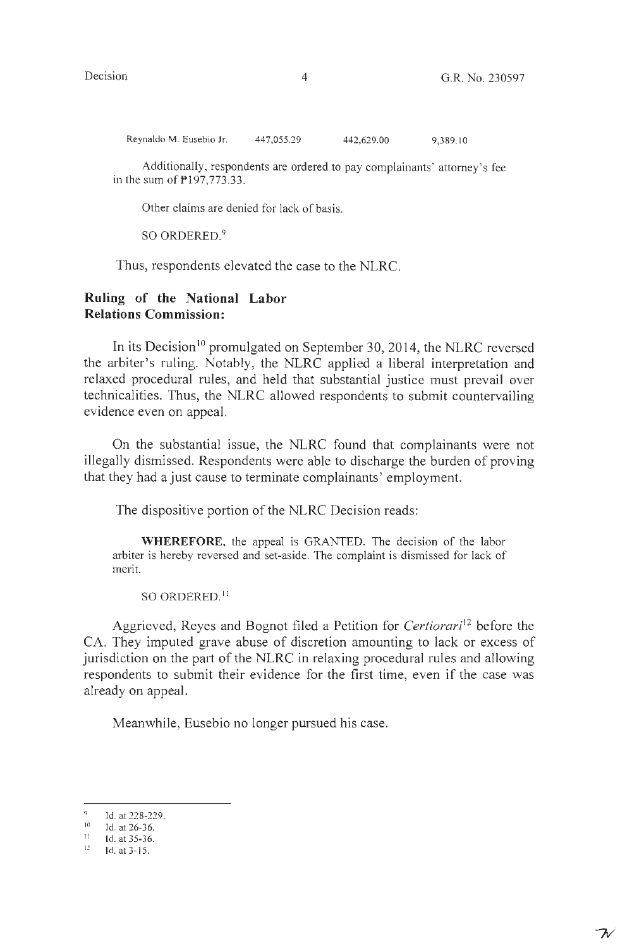フル

Reynaldo M. Eusebio Jr. 447,055.29 442,629.00 9,389. 10

Additionally, respondents are ordered to pay complainants' attorney's fee in the sum of P197,773.33.

Other claims are denied for lack of basis.

SO ORDERED.<sup>9</sup>

Thus, respondents elevated the case to the NLRC.

## **Ruling of the National Labor Relations Commission:**

In its Decision<sup>10</sup> promulgated on September 30, 2014, the NLRC reversed the arbiter's ruling. Notably, the NLRC applied a liberal interpretation and relaxed procedural rules, and held that substantial justice must prevail over technicalities. Thus, the NLRC allowed respondents to submit countervailing evidence even on appeal.

On the substantial issue, the NLRC found that complainants were not illegally dismissed. Respondents were able to discharge the burden of proving that they had a just cause to terminate complainants' employment.

The dispositive portion of the NLRC Decision reads:

**WHEREFORE,** the appeal is GRANTED. The decision of the labor arbiter is hereby reversed and set-aside. The complaint is dismissed for lack of merit.

so ORDERED. <sup>11</sup>

Aggrieved, Reyes and Bognot filed a Petition for *Certiorari*<sup>12</sup> before the CA. They imputed grave abuse of discretion amounting to lack or excess of jurisdiction on the part of the NLRC in relaxing procedural rules and allowing respondents to submit their evidence for the first time, even if the case was already on appeal.

Meanwhile, Eusebio no longer pursued his case.

 $^{9}$  Id. at 228-229.

 $\frac{10}{11}$  Id. at 26-36.<br>
Id. at 35-36.

<sup>12</sup> Id. at 3-15.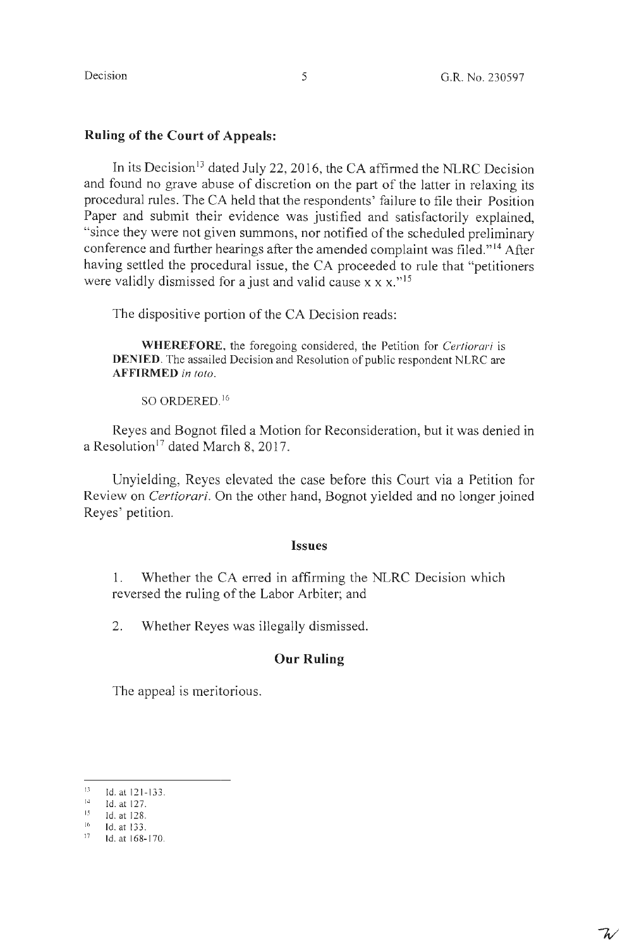## **Ruling of the Court of Appeals:**

In its Decision<sup>13</sup> dated July 22, 2016, the CA affirmed the NLRC Decision and found no grave abuse of discretion on the part of the latter in relaxing its procedural rules. The CA held that the respondents' failure to file their Position Paper and submit their evidence was justified and satisfactorily explained, "since they were not given summons, nor notified of the scheduled preliminary conference and further hearings after the amended complaint was filed."<sup>14</sup> After having settled the procedural issue, the CA proceeded to rule that "petitioners were validly dismissed for a just and valid cause  $x \times x$ .<sup>"15</sup>

The dispositive portion of the CA Decision reads:

**WHEREFORE,** the foregoing considered, the Petition for *Certiorari* is **DENIED.** The assailed Decision and Resolution of public respondent NLRC are **AFFIRMED** *in toto.* 

SO ORDERED. <sup>16</sup>

Reyes and Bognot filed a Motion for Reconsideration, but it was denied in a Resolution<sup>17</sup> dated March 8, 2017.

Unyielding, Reyes elevated the case before this Court via a Petition for Review on *Certiorari.* On the other hand, Bognot yielded and no longer joined Reyes' petition.

#### **Issues**

1. Whether the CA erred in affirming the NLRC Decision which reversed the ruling of the Labor Arbiter; and

2. Whether Reyes was illegally dismissed.

## **Our Ruling**

The appeal is meritorious.

<sup>13</sup>  Id.at 12 1-133.

<sup>14</sup>  Id. at 127.

<sup>15</sup>  Id. at 128.

<sup>16</sup> Id. at 133.

 $17$  1d. at 168-170.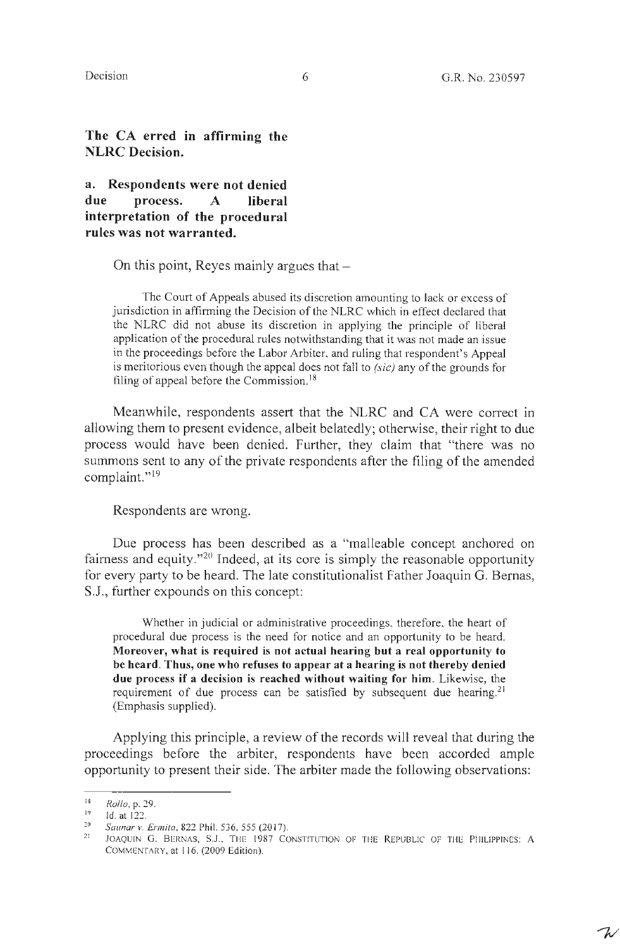$\mathcal{T}_{\mathcal{N}}$ 

**The CA erred in affirming the NLRC Decision.** 

**a. Respondents were not denied due process. A liberal interpretation of the procedural rules was not warranted.** 

On this point, Reyes mainly argues that  $-$ 

The Court of Appeals abused its discretion amounting to lack or excess of jurisdiction in affirming the Decision of the NLRC which in effect declared that the NLRC did not abuse its discretion in applying the principle of liberal application of the procedural rules notwithstanding that it was not made an issue in the proceedings before the Labor Arbiter, and ruling that respondent's Appeal is meritorious even though the appeal does not fall to *(sic)* any of the grounds for filing of appeal before the Commission.<sup>18</sup>

Meanwhile, respondents assert that the NLRC and CA were correct in allowing them to present evidence, albeit belatedly; otherwise, their right to due process would have been denied. Further, they claim that "there was no summons sent to any of the private respondents after the filing of the amended complaint."<sup>19</sup>

Respondents are wrong.

Due process has been described as a "malleable concept anchored on fairness and equity."<sup>20</sup> Indeed, at its core is simply the reasonable opportunity for every party to be heard. The late constitutionalist Father Joaquin G. Bernas, S.J., further expounds on this concept:

Whether in judicial or administrative proceedings, therefore, the heart of procedural due process is the need for notice and an opportunity to be heard. **Moreover, what is required is not actual hearing but a real opportunity to be heard. Thus, one who refuses to appear at a hearing is not thereby denied due process if a decision is reached without waiting for him.** Likewise, the requirement of due process can be satisfied by subsequent due hearing.<sup>21</sup> (Emphasis supplied).

Applying this principle, a review of the records will reveal that during the proceedings before the arbiter, respondents have been accorded ample opportunity to present their side. The arbiter made the following observations:

<sup>18</sup>  19 Rollo, p. 29.

Id. at 122.

<sup>20</sup>  *Saunar v. Ermita, 822 Phil. 536, 555 (2017).* 

 $21$ JOAQUIN G. BERNAS, S.J., THE 1987 CONSTITUTION OF THE REPUBLIC OF THE PHILIPPINES: A COMMENTARY, at 116. (2009 Edition).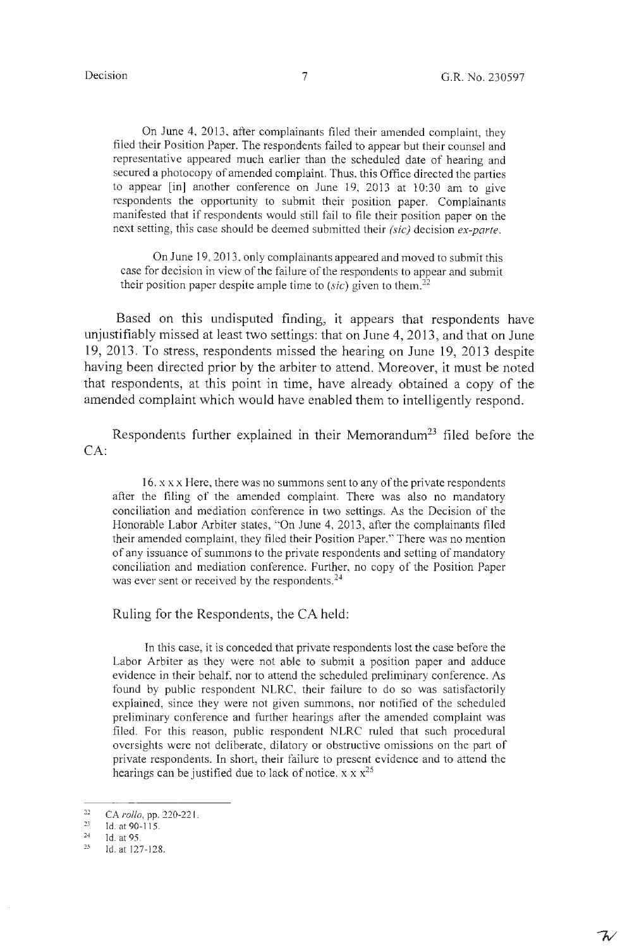On June 4, 2013, after complainants filed their amended complaint, they filed their Position Paper. The respondents failed to appear but their counsel and representative appeared much earlier than the scheduled date of hearing and secured a photocopy of amended complaint. Thus, this Office directed the parties to appear [in] another conference on June 19, 2013 at 10:30 am to give respondents the opportunity to submit their position paper. Complainants manifested that if respondents would still fail to file their position paper on the next setting, this case should be deemed submitted their *(sic)* decision *ex-parte.* 

On June 19, 2013, only complainants appeared and moved to submit this case for decision in view of the failure of the respondents to appear and submit their position paper despite ample time to  $(sic)$  given to them.<sup>22</sup>

Based on this undisputed finding, it appears that respondents have unjustifiably missed at least two settings: that on June 4, 2013, and that on June 19, 2013. To stress, respondents missed the hearing on June 19, 2013 despite having been directed prior by the arbiter to attend. Moreover, it must be noted that respondents, at this point in time, have already obtained a copy of the amended complaint which would have enabled them to intelligently respond.

Respondents further explained in their Memorandum<sup>23</sup> filed before the CA:

16.  $x \times x$  Here, there was no summons sent to any of the private respondents after the filing of the amended complaint. There was also no mandatory conciliation and mediation conference in two settings. As the Decision of the Honorable Labor Arbiter states, "On June 4, 2013, after the complainants filed their amended complaint, they filed their Position Paper." There was no mention of any issuance of summons to the private respondents and setting of mandatory conciliation and mediation conference. Further, no copy of the Position Paper was ever sent or received by the respondents.<sup>24</sup>

Ruling for the Respondents, the CA held:

In this case, it is conceded that private respondents lost the case before the Labor Arbiter as they were not able to submit a position paper and adduce evidence in their behalf, nor to attend the scheduled preliminary conference. As found by public respondent NLRC, their failure to do so was satisfactorily explained, since they were not given summons, nor notified of the scheduled preliminary conference and further hearings after the amended complaint was filed. For this reason, public respondent NLRC ruled that such procedural oversights were not deliberate, dilatory or obstructive omissions on the part of private respondents. In short, their failure to present evidence and to attend the hearings can be justified due to lack of notice.  $x \times x^{25}$ 

<sup>22</sup>  CA *rollo,* pp. 220-22 1.

<sup>23</sup>  Id. at 90-115.

<sup>24</sup>  Id. at 95.

<sup>25</sup>  Id. at 127-128.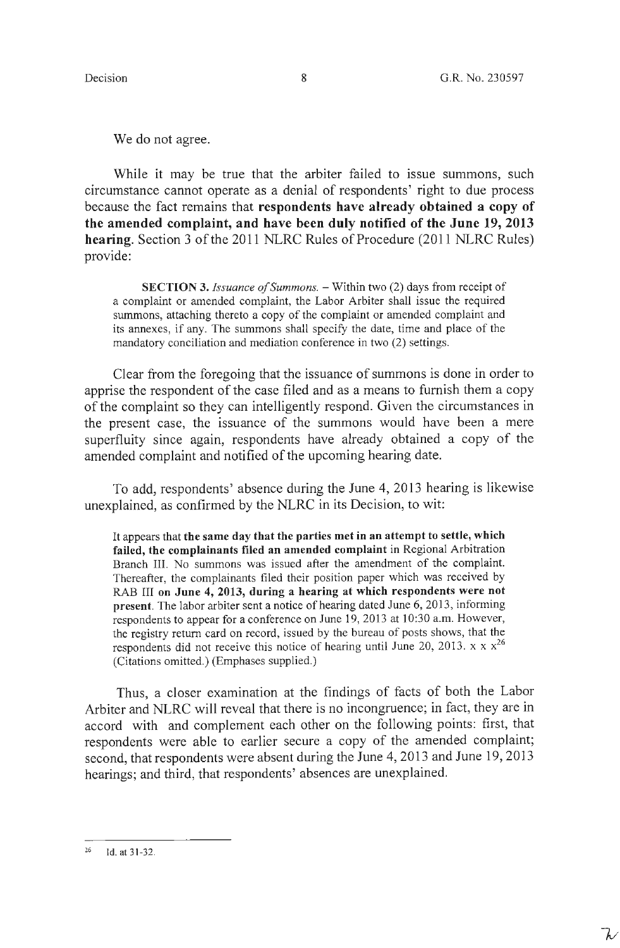We do not agree.

While it may be true that the arbiter failed to issue summons, such circumstance cannot operate as a denial of respondents' right to due process because the fact remains that **respondents have already obtained a copy of the amended complaint, and have been duly notified of the June 19, 2013 hearing.** Section 3 of the 2011 NLRC Rules of Procedure (2011 NLRC Rules) provide:

**SECTION 3.** *Issuance of Summons.* – Within two (2) days from receipt of a complaint or amended complaint, the Labor Arbiter shall issue the required summons, attaching thereto a copy of the complaint or amended complaint and its annexes, if any. The summons shall specify the date, time and place of the mandatory conciliation and mediation conference in two (2) settings.

Clear from the foregoing that the issuance of summons is done in order to apprise the respondent of the case filed and as a means to furnish them a copy of the complaint so they can intelligently respond. Given the circumstances in the present case, the issuance of the summons would have been a mere superfluity since again, respondents have already obtained a copy of the amended complaint and notified of the upcoming hearing date.

To add, respondents' absence during the June 4, 2013 hearing is likewise unexplained, as confirmed by the NLRC in its Decision, to wit:

It appears that **the same day that the parties met in an attempt to settle, which failed, the complainants filed an amended complaint in** Regional Arbitration Branch III. No summons was issued after the amendment of the complaint. Thereafter, the complainants filed their position paper which was received by RAB III **on June 4, 2013, during a hearing at which respondents were not present.** The labor arbiter sent a notice of hearing dated June 6, 2013, informing respondents to appear for a conference on June 19, 2013 at 10:30 a.m. However, the registry return card on record, issued by the bureau of posts shows, that the respondents did not receive this notice of hearing until June 20, 2013. x  $x x^{26}$ (Citations omitted.) (Emphases supplied.)

Thus, a closer examination at the findings of facts of both the Labor Arbiter and NLRC will reveal that there is no incongruence; in fact, they are in accord with and complement each other on the following points: first, that respondents were able to earlier secure a copy of the amended complaint; second, that respondents were absent during the June 4, 2013 and June 19, 2013 hearings; and third, that respondents' absences are unexplained.

<sup>&</sup>lt;sup>26</sup> Id. at 31-32.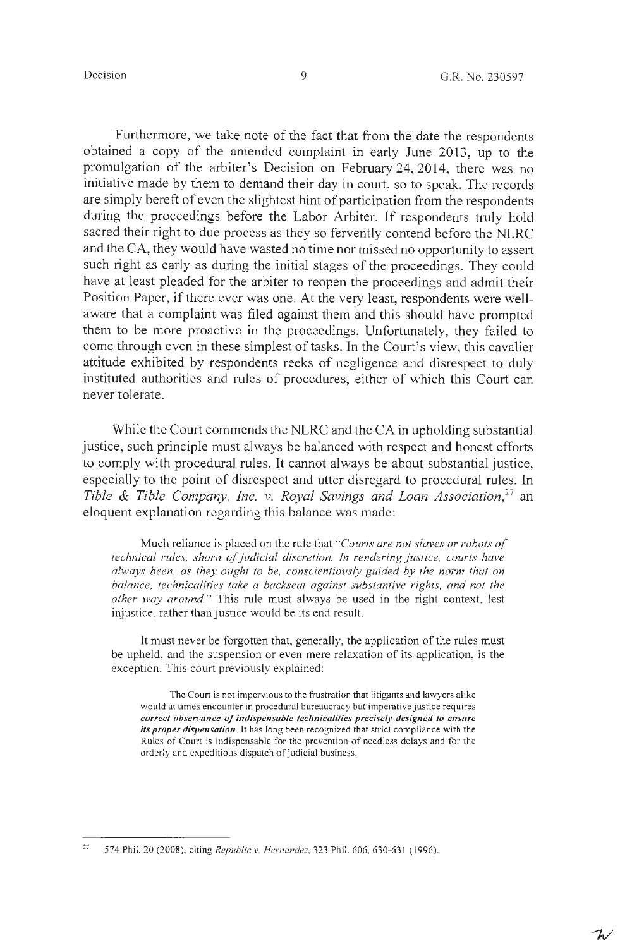Furthermore, we take note of the fact that from the date the respondents obtained a copy of the amended complaint in early June 2013, up to the promulgation of the arbiter's Decision on February 24, 2014, there was no initiative made by them to demand their day in court, so to speak. The records are simply bereft of even the slightest hint of participation from the respondents during the proceedings before the Labor Arbiter. If respondents truly hold sacred their right to due process as they so fervently contend before the NLRC and the CA, they would have wasted no time nor missed no opportunity to assert such right as early as during the initial stages of the proceedings. They could have at least pleaded for the arbiter to reopen the proceedings and admit their Position Paper, if there ever was one. At the very least, respondents were wellaware that a complaint was filed against them and this should have prompted them to be more proactive in the proceedings. Unfortunately, they failed to come through even in these simplest of tasks. In the Court's view, this cavalier attitude exhibited by respondents reeks of negligence and disrespect to duly instituted authorities and rules of procedures, either of which this Court can never tolerate.

While the Court commends the NLRC and the CA in upholding substantial justice, such principle must always be balanced with respect and honest efforts to comply with procedural rules. It cannot always be about substantial justice, especially to the point of disrespect and utter disregard to procedural rules. In Tible & Tible Company, Inc. v. Royal Savings and Loan Association,<sup>27</sup> an eloquent explanation regarding this balance was made:

Much reliance is placed on the rule that *"Courts are not slaves or robots of' technical rules, shorn of judicial discretion. In rendering justice, courts have always been, as they ought to be, conscientiously guided by the norm that on balance, technicalities take a backseat against substantive rights, and not the other way around."* This rule must always be used in the right context, lest injustice, rather than justice would be its end result.

It must never be forgotten that, generally, the application of the rules must be upheld, and the suspension or even mere relaxation of its application, is the exception. This court previously explained:

The Court is not impervious to the frustration that litigants and lawyers alike would at times encounter in procedural bureaucracy but imperative justice requires *correct observance of indispensable technicalities precisely designed to ensure its proper dispemation.* It has long been recognized that strict compliance with the Rules of Court is indispensable for the prevention of needless delays and for the orderly and expeditious dispatch of judicial business.

<sup>27</sup>  574 Phil. 20 (2008), citing *Republic v. Hernandez,* 323 Phil. 606, 630-63 I ( 1996).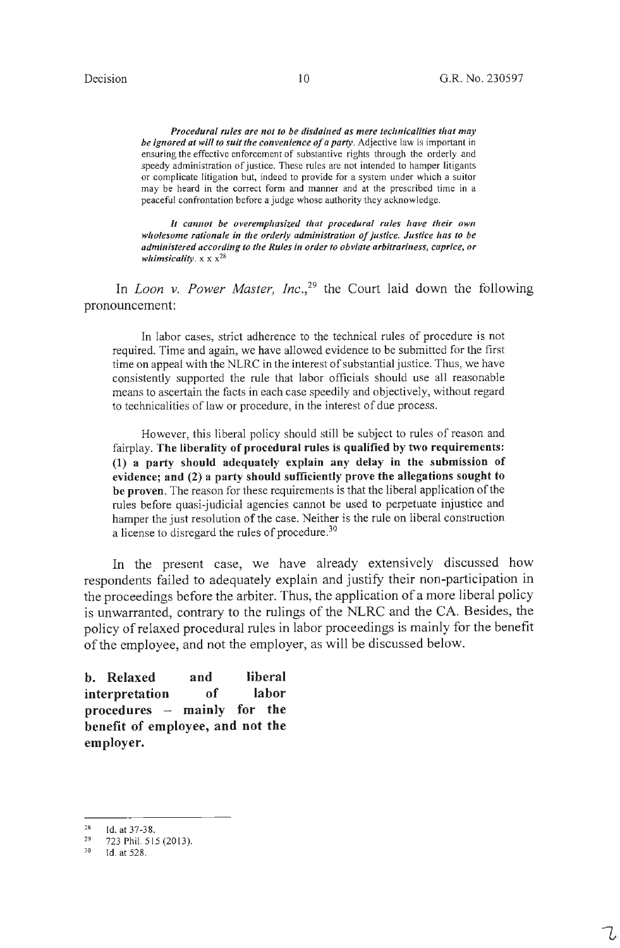*Procedural rules are not to be disdained as mere technicalities that may* be *ignored at will to suit the convenience of a party*. Adjective law is important in ensuring the effective enforcement of substantive rights through the orderly and speedy administration of justice. These rules are not intended to hamper litigants or complicate litigation but, indeed to provide for a system under which a suitor may be heard in the correct form and manner and at the prescribed time in a peaceful confrontation before a judge whose authority they acknowledge.

It cannot be overemphasized that procedural rules have their own wholesome rationale in the orderly administration of justice. Justice has to be *administered according to the Rules in order to obviate arbitrariness, caprice, or whimsicality.* **x x x28** 

In *Loon v. Power Master, Inc.*<sup>29</sup> the Court laid down the following pronouncement:

In labor cases, strict adherence to the technical rules of procedure is not required. Time and again, we have allowed evidence to be submitted for the first time on appeal with the NLRC in the interest of substantial justice. Thus, we have consistently supported the rule that labor officials should use all reasonable means to ascertain the facts in each case speedily and objectively, without regard to technicalities of law or procedure, in the interest of due process.

However, this liberal policy should still be subject to rules of reason and fairplay. **The liberality of procedural rules is qualified by two requirements: (1) a party should adequately explain any delay in the submission of evidence; and (2) a party should sufficiently prove the allegations sought to be proven.** The reason for these requirements is that the liberal application of the rules before quasi-judicial agencies cannot be used to perpetuate injustice and hamper the just resolution of the case. Neither is the rule on liberal construction a license to disregard the rules of procedure.<sup>30</sup>

In the present case, we have already extensively discussed how respondents failed to adequately explain and justify their non-participation in the proceedings before the arbiter. Thus, the application of a more liberal policy is unwarranted, contrary to the rulings of the NLRC and the CA. Besides, the policy of relaxed procedural rules in labor proceedings is mainly for the benefit of the employee, and not the employer, as will be discussed below.

**b. Relaxed and liberal interpretation of labor procedures** - **mainly for the benefit of employee, and not the employer.** 

<sup>28</sup>  Id. at 37-38.

<sup>29</sup>  723 Phil. 5 15 (2013).

<sup>30</sup>  Id. at 528.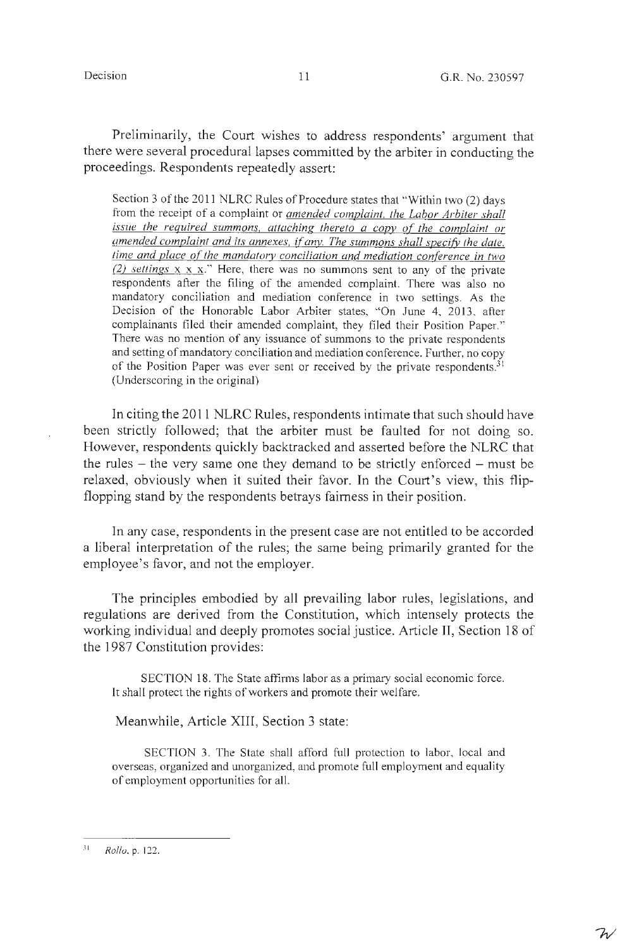$\mathcal{W}$ 

Preliminarily, the Court wishes to address respondents' argument that there were several procedural lapses committed by the arbiter in conducting the proceedings. Respondents repeatedly assert:

Section 3 of the 2011 NLRC Rules of Procedure states that "Within two (2) days from the receipt of a complaint or *amended complaint. the Labor Arbiter shall issue the required summons, attaching thereto a copy of the complaint or amended complaint and its annexes. if'any. The summons shall specify the date. time and place of the mandatorv conciliation and mediation conference in two (2) settings* x x x." Here, there was no summons sent to any of the private respondents after the filing of the amended complaint. There was also no mandatory conciliation and mediation conference in two settings. As the Decision of the Honorable Labor Arbiter states, "On June 4, 2013, after complainants filed their amended complaint, they filed their Position Paper." There was no mention of any issuance of summons to the private respondents and setting of mandatory conciliation and mediation conference. Further, no copy of the Position Paper was ever sent or received by the private respondents.<sup>31</sup> (Underscoring in the original)

In citing the 2011 NLRC Rules, respondents intimate that such should have been strictly followed; that the arbiter must be faulted for not doing so. However, respondents quickly backtracked and asserted before the NLRC that the rules  $-$  the very same one they demand to be strictly enforced  $-$  must be relaxed, obviously when it suited their favor. In the Court's view, this flipflopping stand by the respondents betrays fairness in their position.

In any case, respondents in the present case are not entitled to be accorded a liberal interpretation of the rules; the same being primarily granted for the employee's favor, and not the employer.

The principles embodied by all prevailing labor rules, legislations, and regulations are derived from the Constitution, which intensely protects the working individual and deeply promotes social justice. Article II, Section 18 of the 1987 Constitution provides:

SECTION 18. The State affirms labor as a primary social economic force. It shall protect the rights of workers and promote their welfare.

Meanwhile, Article XIII, Section 3 state:

SECTION 3. The State shall afford full protection to labor, local and overseas, organized and unorganized, and promote full employment and equality of employment opportunities for all.

 $\overline{3}1$ *Rollo.* p. 122.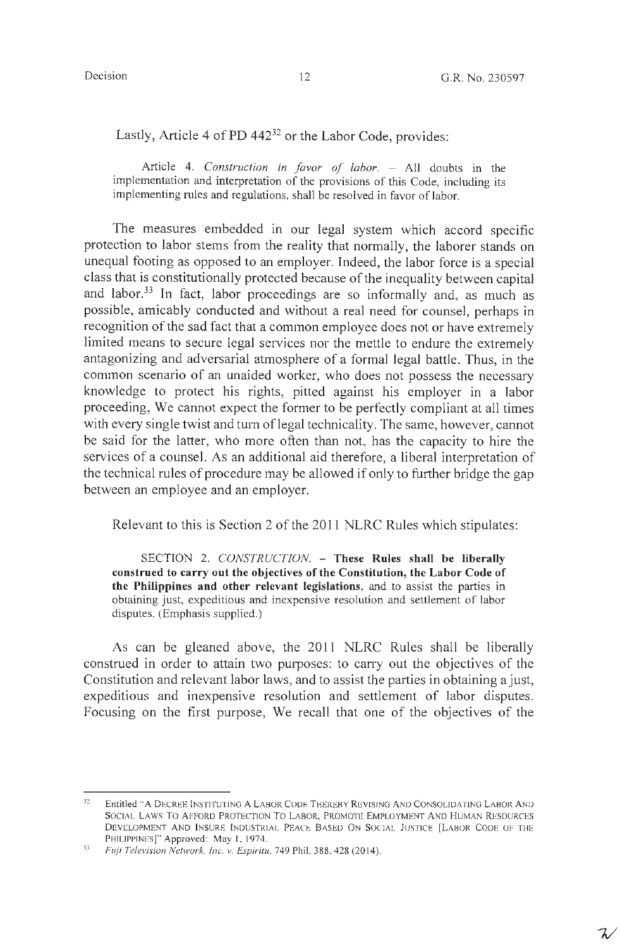Lastly, Article 4 of PD 442<sup>32</sup> or the Labor Code, provides:

Article 4. *Construction in favor of labor*. - All doubts in the implementation and interpretation of the provisions of this Code, including its implementing rules and regulations, shall be resolved in favor of labor.

The measures embedded in our legal system which accord specific protection to labor stems from the reality that normally, the laborer stands on unequal footing as opposed to an employer. Indeed, the labor force is a special class that is constitutionally protected because of the inequality between capital and labor.33 In fact, labor proceedings are so informally and, as much as possible, amicably conducted and without a real need for counsel, perhaps in recognition of the sad fact that a common employee does not or have extremely limited means to secure legal services nor the mettle to endure the extremely antagonizing and adversarial atmosphere of a formal legal battle. Thus, in the common scenario of an unaided worker, who does not possess the necessary knowledge to protect his rights, pitted against his employer in a labor proceeding, We cannot expect the former to be perfectly compliant at all times with every single twist and turn of legal technicality. The same, however, cannot be said for the latter, who more often than not, has the capacity to hire the services of a counsel. As an additional aid therefore, a liberal interpretation of the technical rules of procedure may be allowed if only to further bridge the gap between an employee and an employer.

Relevant to this is Section 2 of the 2011 NLRC Rules which stipulates:

SECTION 2. *CONSTRUCTION*. - These Rules shall be liberally **construed to carry out the objectives of the Constitution, the Labor Code of the Philippines and other relevant legislations,** and to assist the parties in obtaining just, expeditious and inexpensive resolution and settlement of labor disputes. (Emphasis supplied.)

As can be gleaned above, the 2011 NLRC Rules shall be liberally construed in order to attain two purposes: to carry out the objectives of the Constitution and relevant labor laws, and to assist the parties in obtaining a just, expeditious and inexpensive resolution and settlement of labor disputes. Focusing on the first purpose, We recall that one of the objectives of the

**<sup>:</sup>n**  Entitled "A DECREE INSTITUTING A LABOR CODE THEREBY REVISING AND CONSOLIDATING LABOR AND SOCIAL LAWS TO AFFORD PROTECTION TO LABOR, PROMOTE EMPLOYMENT AND HUMAN RESOURCES DEVELOPMENT AND INSURE INDUSTRIAL PEACE BASED ON SOCIAL JUSTICE [LABOR CODE OF THE PHILIPPINES]" Approved: May 1, 1974.

<sup>33</sup>  *Fuji Television Network, Inc. v. Espiritu,* 749 Phil. 388, 428 (2014).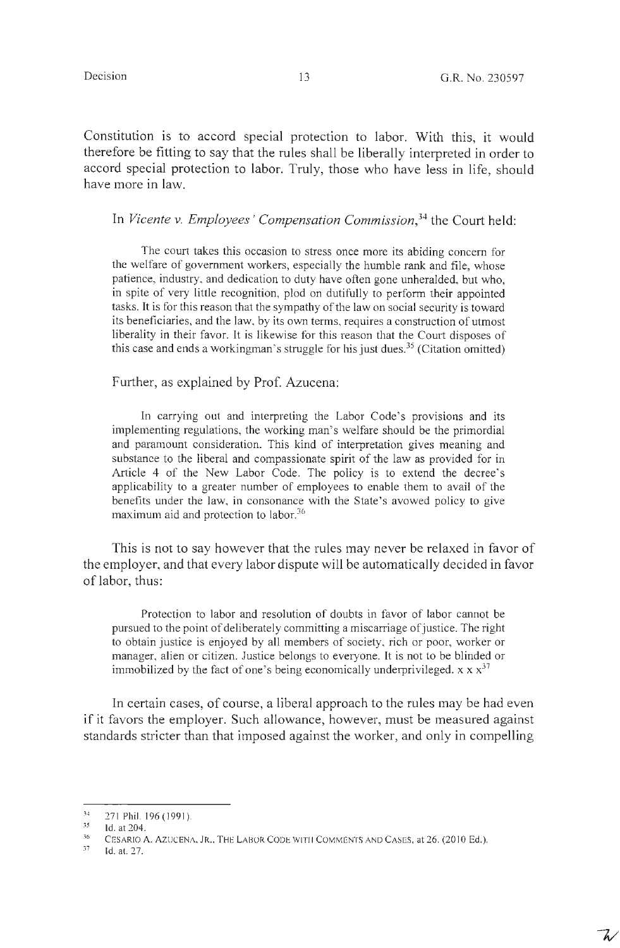$\mathcal{L}$ 

Constitution is to accord special protection to labor. With this, it would therefore be fitting to say that the rules shall be liberally interpreted in order to accord special protection to labor. Truly, those who have less in life, should have more in law.

In *Vicente v. Employees' Compensation Commission, <sup>34</sup>*the Court held:

The court takes this occasion to stress once more its abiding concern for the welfare of government workers, especially the humble rank and file, whose patience, industry, and dedication to duty have often gone unheralded, but who, in spite of very little recognition, plod on dutifully to perform their appointed tasks. It is for this reason that the sympathy of the law on social security is toward its beneficiaries, and the law, by its own terms, requires a construction of utmost liberality in their favor. It is likewise for this reason that the Court disposes of this case and ends a workingman's struggle for his just dues.<sup>35</sup> (Citation omitted)

Further, as explained by Prof. Azucena:

In carrying out and interpreting the Labor Code's provisions and its implementing regulations, the working man's welfare should be the primordial and paramount consideration. This kind of interpretation gives meaning and substance to the liberal and compassionate spirit of the law as provided for in Article 4 of the New Labor Code. The policy is to extend the decree's applicability to a greater number of employees to enable them to avail of the benefits under the law, in consonance with the State's avowed policy to give maximum aid and protection to labor.<sup>36</sup>

This is not to say however that the rules may never be relaxed in favor of the employer, and that every labor dispute will be automatically decided in favor of labor, thus:

Protection to labor and resolution of doubts in favor of labor cannot be pursued to the point of deliberately committing a miscarriage of justice. The right to obtain justice is enjoyed by all members of society, rich or poor, worker or manager, alien or citizen. Justice belongs to everyone. It is not to be blinded or immobilized by the fact of one's being economically underprivileged.  $x \times x^{37}$ 

In certain cases, of course, a liberal approach to the rules may be had even if it favors the employer. Such allowance, however, must be measured against standards stricter than that imposed against the worker, and only in compelling

<sup>34</sup>  271 Phil. 196 (1991).

*<sup>35</sup>*  Id. at 204.

<sup>36</sup>  CESARIO A. AZUCENA, JR., THE LABOR CODE WITH COMMENTS AND CASES, at 26. (2010 Ed.).

<sup>}7</sup>  Id. at. 27.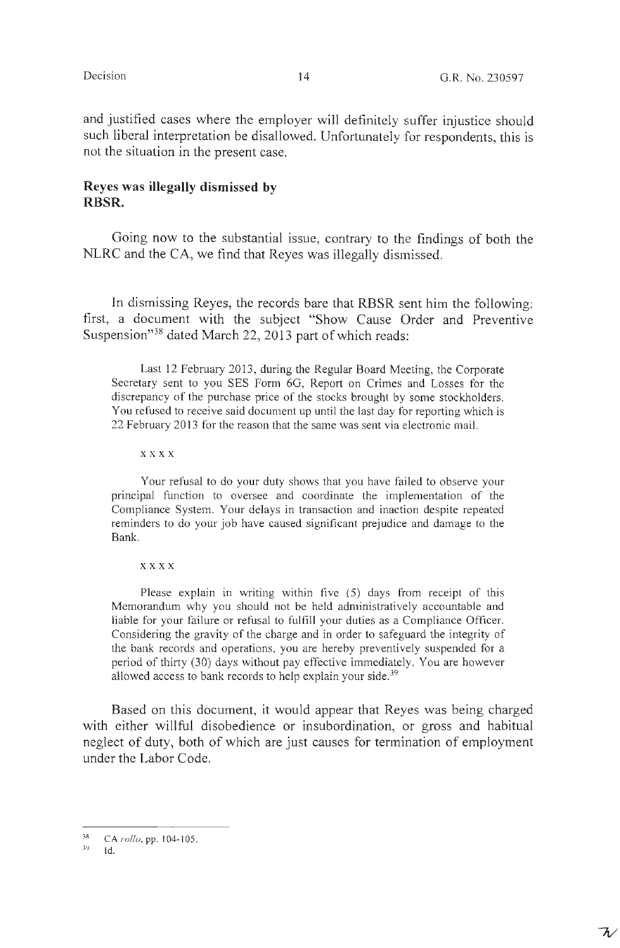$\bar{\gamma}$ 

and justified cases where the employer will definitely suffer injustice should such liberal interpretation be disallowed. Unfortunately for respondents, this is not the situation in the present case.

# **Reyes was illegally dismissed by RBSR.**

Going now to the substantial issue, contrary to the findings of both the NLRC and the CA, we find that Reyes was illegally dismissed.

In dismissing Reyes, the records bare that RBSR sent him the following: first, a document with the subject "Show Cause Order and Preventive Suspension"<sup>38</sup> dated March 22, 2013 part of which reads:

Last 12 February 2013, during the Regular Board Meeting, the Corporate Secretary sent to you SES Form 6G, Report on Crimes and Losses for the discrepancy of the purchase price of the stocks brought by some stockholders. You refused to receive said document up until the last day for reporting which is 22 February 2013 for the reason that the same was sent via electronic mail.

**xxxx** 

Your refusal to do your duty shows that you have failed to observe your principal function to oversee and coordinate the implementation of the Compliance System. Your delays in transaction and inaction despite repeated reminders to do your job have caused significant prejudice and damage to the Bank.

**xxxx** 

Please explain in writing within five  $(5)$  days from receipt of this Memorandum why you should not be held administratively accountable and liable for your failure or refusal to fulfill your duties as a Compliance Officer. Considering the gravity of the charge and in order to safeguard the integrity of the bank records and operations, you are hereby preventively suspended for a period of thirty (30) days without pay effective immediately. You are however allowed access to bank records to help explain your side.<sup>39</sup>

Based on this document, it would appear that Reyes was being charged with either willful disobedience or insubordination, or gross and habitual neglect of duty, both of which are just causes for termination of employment under the Labor Code.

<sup>38</sup>  CA *rollo,* pp. 104-105.

*<sup>39</sup>*  Id.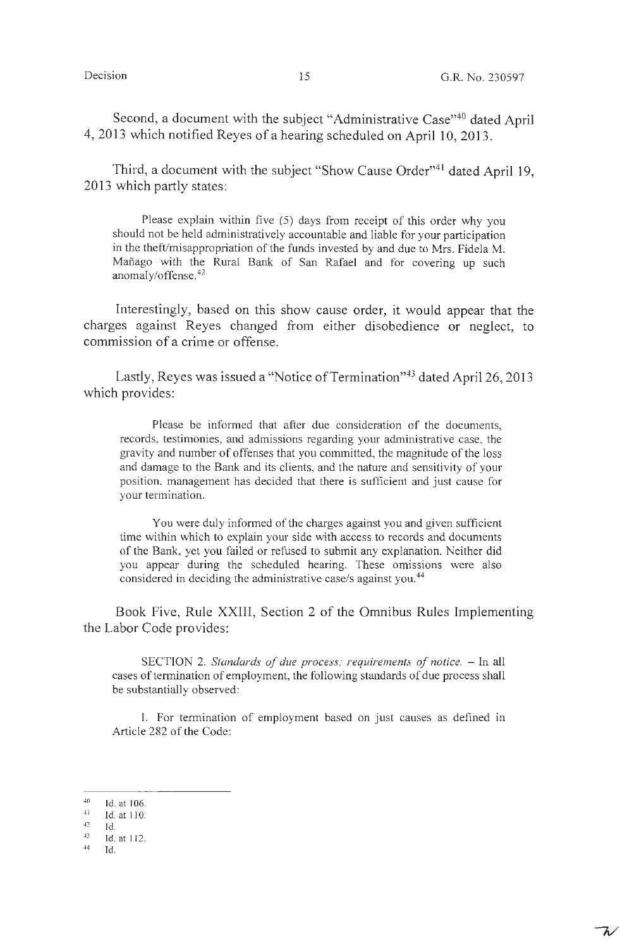ファ

Second, a document with the subject "Administrative Case"<sup>40</sup> dated April 4, 2013 which notified Reyes of a hearing scheduled on April 10, 2013.

Third, a document with the subject "Show Cause Order"<sup>41</sup> dated April 19, 2013 which partly states:

Please explain within five (5) days from receipt of this order why you should not be held administratively accountable and liable for your participation in the theft/misappropriation of the funds invested by and due to Mrs. Fidela M. Mañago with the Rural Bank of San Rafael and for covering up such anomaly/offense. 42

Interestingly, based on this show cause order, it would appear that the charges against Reyes changed from either disobedience or neglect, to commission of a crime or offense.

Lastly, Reyes was issued a "Notice of Termination"<sup>43</sup> dated April 26, 2013 which provides:

Please be informed that after due consideration of the documents, records, testimonies, and admissions regarding your administrative case, the gravity and number of offenses that you committed, the magnitude of the loss and damage to the Bank and its clients, and the nature and sensitivity of your position, management has decided that there is sufficient and just cause for your termination.

You were duly informed of the charges against you and given sufficient time within which to explain your side with access to records and documents of the Bank, yet you failed or refused to submit any explanation. Neither did you appear during the scheduled hearing. These omissions were also considered in deciding the administrative case/s against you.<sup>44</sup>

Book Five, Rule **XXIII,** Section 2 of the Omnibus Rules Implementing the Labor Code provides:

SECTION 2. *Standards of due process; requirements of notice.* - In all cases of termination of employment, the following standards of due process shall be substantially observed:

I. For termination of employment based on just causes as defined in Article 282 of the Code:

<sup>40</sup>  Id. at I 06.

 $41 -$ -12 Id. at 110.

Id.

<sup>43</sup>  44 Id. at 112.

Id.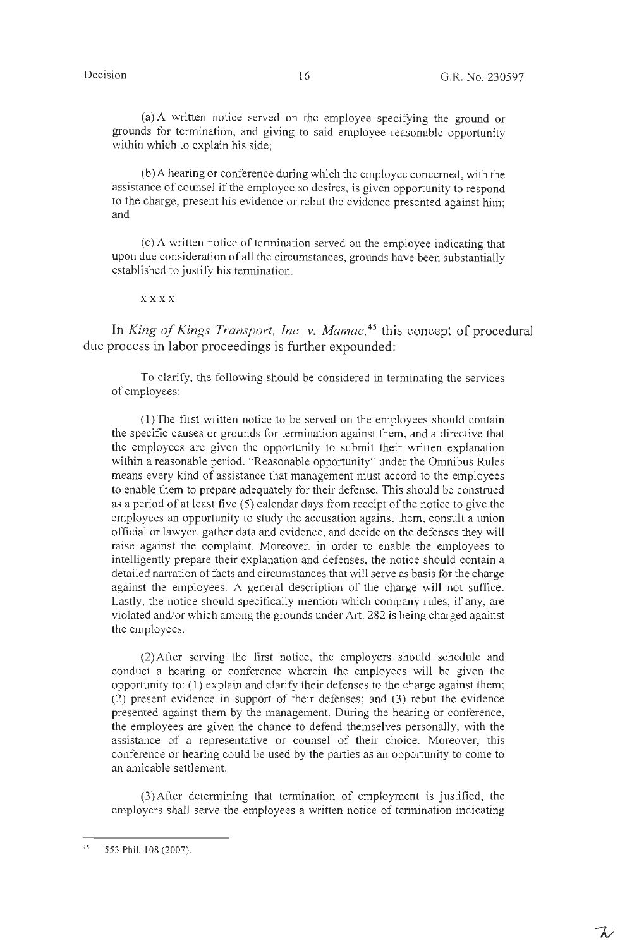$\mathcal{L}'$ 

(a) A written notice served on the employee specifying the ground or grounds for termination, and giving to said employee reasonable opportunity within which to explain his side;

(b)A hearing or conference during which the employee concerned, with the assistance of counsel if the employee so desires, is given opportunity to respond to the charge, present his evidence or rebut the evidence presented against him; and

( c) A written notice of tennination served on the employee indicating that upon due consideration of all the circumstances, grounds have been substantially established to justify his termination.

**xxxx** 

In *King of Kings Transport, Inc. v. Mamac*,<sup>45</sup> this concept of procedural due process in labor proceedings is further expounded:

To clarify, the following should be considered in terminating the services of employees:

(l)The first written notice to be served on the employees should contain the specific causes or grounds for termination against them, and a directive that the employees are given the opportunity to submit their written explanation within a reasonable period. "Reasonable opportunity" under the Omnibus Rules means every kind of assistance that management must accord to the employees to enable them to prepare adequately for their defense. This should be construed as a period of at least five (5) calendar days from receipt of the notice to give the employees an opportunity to study the accusation against them, consult a union official or lawyer, gather data and evidence, and decide on the defenses they will raise against the complaint. Moreover, in order to enable the employees to intelligently prepare their explanation and defenses, the notice should contain a detailed narration of facts and circumstances that will serve as basis for the charge against the employees. A general description of the charge will not suffice. Lastly, the notice should specifically mention which company rules, if any, are violated and/or which among the grounds under Art. 282 is being charged against the employees.

(2) After serving the first notice, the employers should schedule and conduct a hearing or conference wherein the employees will be given the opportunity to:  $(1)$  explain and clarify their defenses to the charge against them; (2) present evidence in support of their defenses; and (3) rebut the evidence presented against them by the management. During the hearing or conference, the employees are given the chance to defend themselves personally, with the assistance of a representative or counsel of their choice. Moreover, this conference or hearing could be used by the parties as an opportunity to come to an amicable settlement.

(3)After determining that termination of employment is justified, the employers shall serve the employees a written notice of termination indicating

<sup>45</sup>  553 Phil. 108 (2007).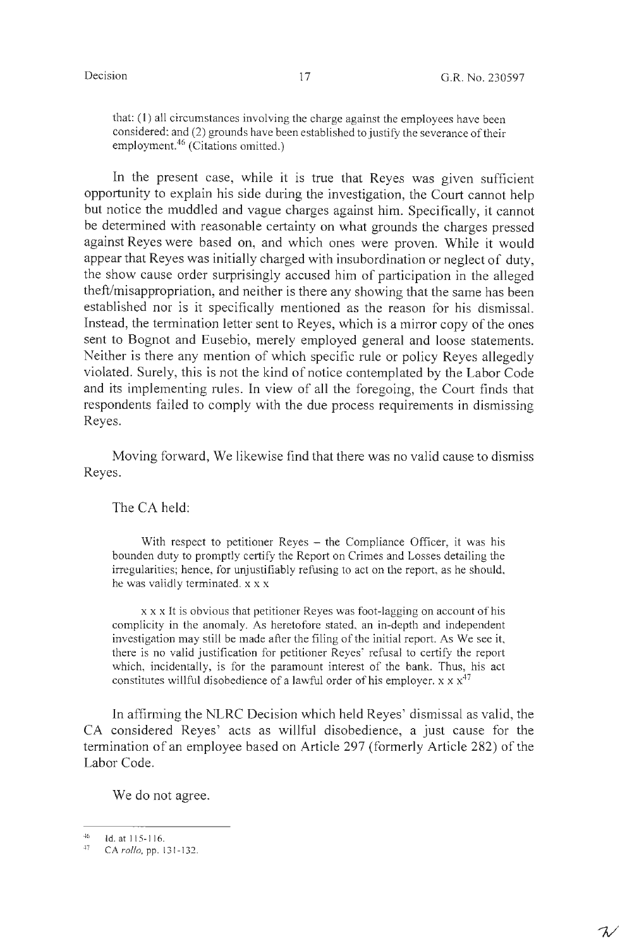${\cal X}$ 

that: (1) all circumstances involving the charge against the employees have been considered; and (2) grounds have been established to justify the severance of their employment.46 (Citations omitted.)

In the present case, while it is true that Reyes was given sufficient opportunity to explain his side during the investigation, the Court cannot help but notice the muddled and vague charges against him. Specifically, it cannot be determined with reasonable certainty on what grounds the charges pressed against Reyes were based on, and which ones were proven. While it would appear that Reyes was initially charged with insubordination or neglect of duty, the show cause order surprisingly accused him of participation in the alleged theft/misappropriation, and neither is there any showing that the same has been established nor is it specifically mentioned as the reason for his dismissal. Instead, the termination letter sent to Reyes, which is a mirror copy of the ones sent to Bognot and Eusebio, merely employed general and loose statements. Neither is there any mention of which specific rule or policy Reyes allegedly violated. Surely, this is not the kind of notice contemplated by the Labor Code and its implementing rules. In view of all the foregoing, the Court finds that respondents failed to comply with the due process requirements in dismissing Reyes.

Moving forward, We likewise find that there was no valid cause to dismiss Reyes.

The CA held:

With respect to petitioner Reyes – the Compliance Officer, it was his bounden duty to promptly certify the Report on Crimes and Losses detailing the irregularities; hence, for unjustifiably refusing to act on the report, as he should, he was validly terminated. xx x

x x x It is obvious that petitioner Reyes was foot-lagging on account of his complicity in the anomaly. As heretofore stated, an in-depth and independent investigation may still be made after the filing of the initial report. As We see it, there is no valid justification for petitioner Reyes' refusal to certify the report which, incidentally, is for the paramount interest of the bank. Thus, his act constitutes willful disobedience of a lawful order of his employer.  $x \times x^{47}$ 

In affirming the NLRC Decision which held Reyes' dismissal as valid, the CA considered Reyes' acts as willful disobedience, a just cause for the termination of an employee based on Article 297 (formerly Article 282) of the Labor Code.

We do not agree.

 $^{46}$  Id. at 115-116.

CA  $rollo$ , pp. 131-132.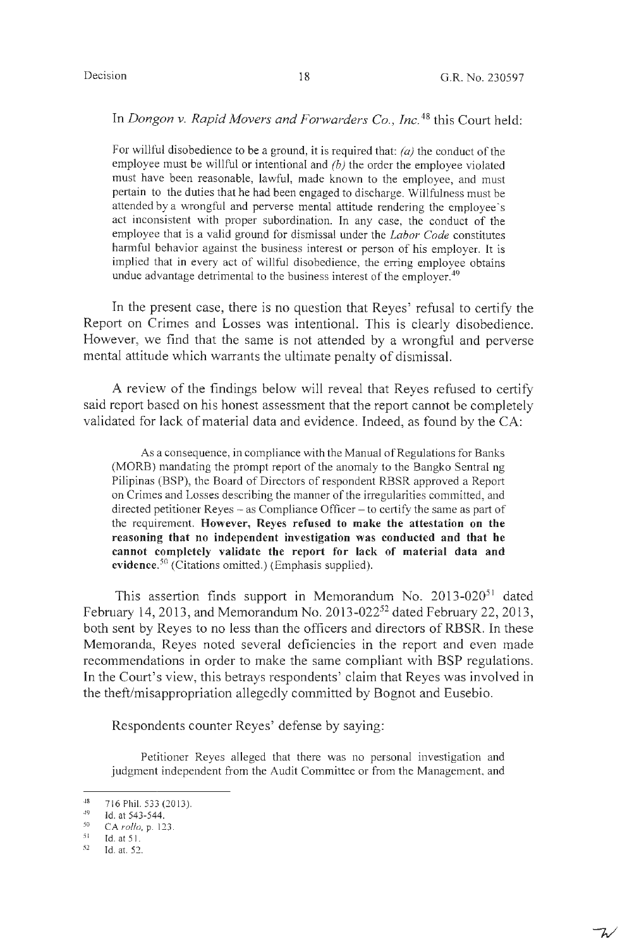$7/$ 

## In *Dongon v. Rapid Movers and Forwarders Co., Inc.*<sup>48</sup> this Court held:

For willful disobedience to be a ground, it is required that: *(a)* the conduct of the employee must be willful or intentional and *(b)* the order the employee violated must have been reasonable, lawful, made known to the employee, and must pertain to the duties that he had been engaged to discharge. Willfulness must be attended by a wrongful and perverse mental attitude rendering the employee's act inconsistent with proper subordination. In any case, the conduct of the employee that is a valid ground for dismissal under the *Labor Code* constitutes harmful behavior against the business interest or person of his employer. It is implied that in every act of willful disobedience, the erring employee obtains undue advantage detrimental to the business interest of the employer.<sup>49</sup>

In the present case, there is no question that Reyes' refusal to certify the Report on Crimes and Losses was intentional. This is clearly disobedience. However, we find that the same is not attended by a wrongful and perverse mental attitude which warrants the ultimate penalty of dismissal.

A review of the findings below will reveal that Reyes refused to certify said report based on his honest assessment that the report cannot be completely validated for lack of material data and evidence. Indeed, as found by the CA:

As a consequence, in compliance with the Manual of Regulations for Banks (MORB) mandating the prompt report of the anomaly to the Bangko Sentral ng Pilipinas (BSP), the Board of Directors of respondent RBSR approved a Report on Crimes and Losses describing the manner of the irregularities committed, and directed petitioner Reyes  $-$  as Compliance Officer  $-$  to certify the same as part of the requirement. **However, Reyes refused to make the attestation on the reasoning that no independent investigation was conducted and that he cannot completely validate the report for lack of material data and evidence.** 50 (Citations omitted.) (Emphasis supplied).

This assertion finds support in Memorandum No. 2013-020<sup>51</sup> dated February 14, 2013, and Memorandum No. 2013-022<sup>52</sup> dated February 22, 2013, both sent by Reyes to no less than the officers and directors of **RBSR.** In these Memoranda, Reyes noted several deficiencies in the report and even made recommendations **in** order to make the same compliant with BSP regulations. In the Court's view, this betrays respondents' claim that Reyes was involved in the theft/misappropriation allegedly committed by Bognot and Eusebio.

Respondents counter Reyes' defense by saying:

Petitioner Reyes alleged that there was no personal investigation and judgment independent from the Audit Committee or from the Management, and

<sup>48</sup>  716 Phil. 533 (2013).

<sup>49</sup>  Id. at 543-544.

<sup>50</sup>  CA *rollo,* p. 123.

<sup>51</sup> Id. at 5 I.

<sup>52</sup>  Id. at. 52.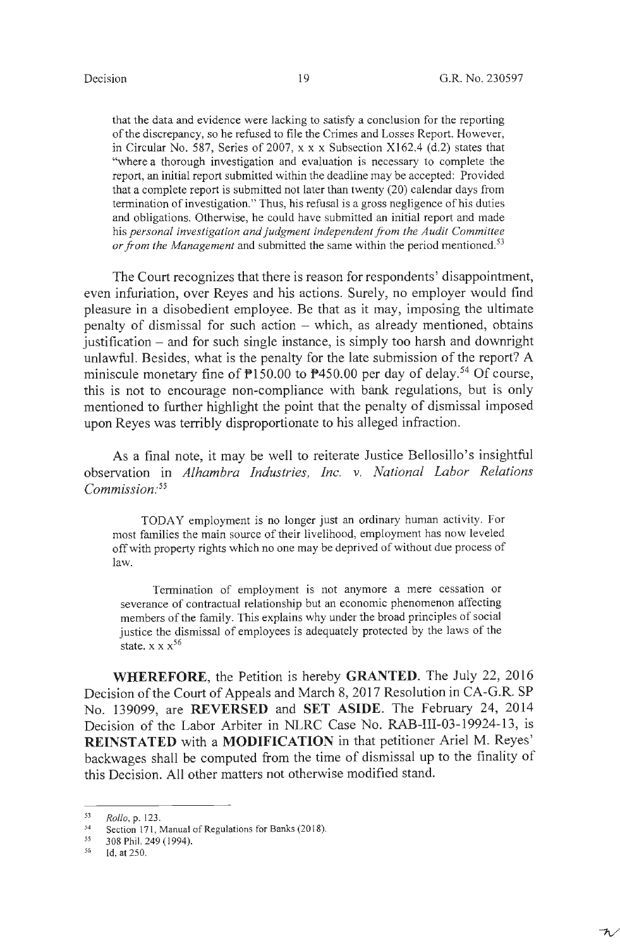that the data and evidence were lacking to satisfy a conclusion for the reporting of the discrepancy, so he refused to file the Crimes and Losses Report. However, in Circular No. 587, Series of 2007, xx x Subsection Xl62.4 (d.2) states that "where a thorough investigation and evaluation is necessary to complete the report, an initial report submitted within the deadline may be accepted: Provided that a complete report is submitted not later than twenty (20) calendar days from termination of investigation." Thus, his refusal is a gross negligence of his duties and obligations. Otherwise, he could have submitted an initial report and made his *personal investigation and judgment independent from the Audit Committee or from the Management* and submitted the same within the period mentioned.<sup>53</sup>

The Court recognizes that there is reason for respondents' disappointment, even infuriation, over Reyes and his actions. Surely, no employer would find pleasure in a disobedient employee. Be that as it may, imposing the ultimate penalty of dismissal for such action  $-$  which, as already mentioned, obtains justification - and for such single instance, is simply too harsh and downright unlawful. Besides, what is the penalty for the late submission of the report? A miniscule monetary fine of  $\overline{P}150.00$  to  $\overline{P}450.00$  per day of delay.<sup>54</sup> Of course, this is not to encourage non-compliance with bank regulations, but is only mentioned to further highlight the point that the penalty of dismissal imposed upon Reyes was terribly disproportionate to his alleged infraction.

As a final note, it may be well to reiterate Justice Bellosillo's insightful observation in *Alhambra Industries, Inc. v. National Labor Relations Commission: <sup>55</sup>*

TODAY employment is no longer just an ordinary human activity. For most families the main source of their livelihood, employment has now leveled off with property rights which no one may be deprived of without due process of law.

Termination of employment is not anymore a mere cessation or severance of contractual relationship but an economic phenomenon affecting members of the family. This explains why under the broad principles of social justice the dismissal of employees is adequately protected by the laws of the state.  $x x x^{56}$ 

**WHEREFORE,** the Petition is hereby **GRANTED.** The July 22, 2016 Decision of the Court of Appeals and March 8, 2017 Resolution in CA-G.R. SP No. 139099, are **REVERSED** and **SET ASIDE.** The February 24, 2014 Decision of the Labor Arbiter in NLRC Case No. RAB-III-03-19924-13, is **REINSTATED** with a **MODIFICATION** in that petitioner Ariel M. Reyes' backwages shall be computed from the time of dismissal up to the finality of this Decision. All other matters not otherwise modified stand.

<sup>53</sup>  *Rollo, p.123.* 

<sup>54</sup>  Section 171, Manual of Regulations for Banks (2018).

*<sup>55</sup>*  308 Phil. 249 (1994).

*<sup>56</sup>*  Id. at 250.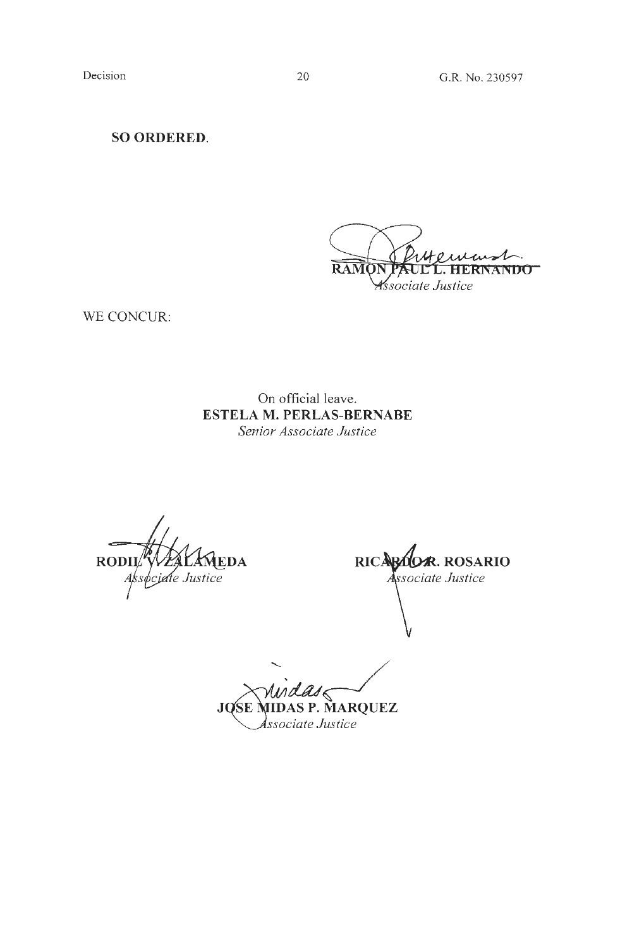**SO ORDERED.** 

**RAMO ANDO** *Associate Justice* 

WE CONCUR:

On official leave. **ESTELA M. PERLAS-BERNABE**  *Senior Associate Justice* 

**RODII** DA pciate Justice

RICARD . **ROSARIO** Associate Justice

*'-tW/*  **JQSE MIDAS P. MARQUEZ** *JQSE MIDAS P. MARC*<br>*Associate Justice*